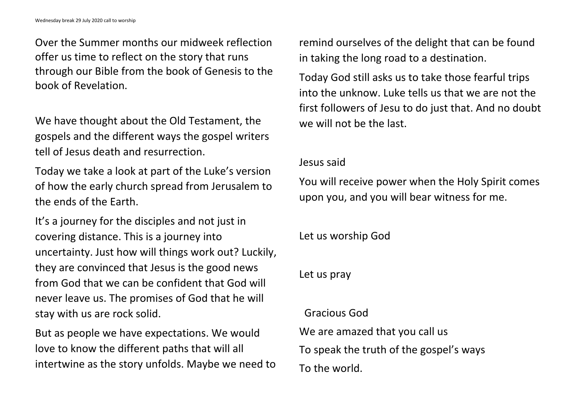Over the Summer months our midweek reflection offer us time to reflect on the story that runs through our Bible from the book of Genesis to the book of Revelation.

We have thought about the Old Testament, the gospels and the different ways the gospel writers tell of Jesus death and resurrection.

Today we take a look at part of the Luke's version of how the early church spread from Jerusalem to the ends of the Earth.

It's a journey for the disciples and not just in covering distance. This is a journey into uncertainty. Just how will things work out? Luckily, they are convinced that Jesus is the good news from God that we can be confident that God will never leave us. The promises of God that he will stay with us are rock solid.

But as people we have expectations. We would love to know the different paths that will all intertwine as the story unfolds. Maybe we need to remind ourselves of the delight that can be found in taking the long road to a destination.

Today God still asks us to take those fearful trips into the unknow. Luke tells us that we are not the first followers of Jesu to do just that. And no doubt we will not be the last.

## Jesus said

You will receive power when the Holy Spirit comes upon you, and you will bear witness for me.

Let us worship God

Let us pray

Gracious God We are amazed that you call us To speak the truth of the gospel's ways To the world.